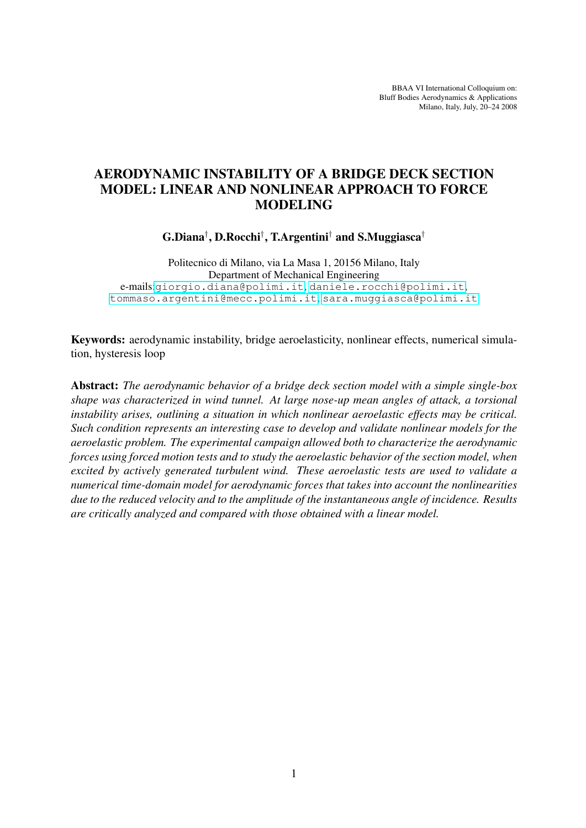BBAA VI International Colloquium on: Bluff Bodies Aerodynamics & Applications Milano, Italy, July, 20–24 2008

# AERODYNAMIC INSTABILITY OF A BRIDGE DECK SECTION MODEL: LINEAR AND NONLINEAR APPROACH TO FORCE MODELING

G.Diana† , D.Rocchi† , T.Argentini† and S.Muggiasca†

Politecnico di Milano, via La Masa 1, 20156 Milano, Italy Department of Mechanical Engineering e-mails:<giorgio.diana@polimi.it>, <daniele.rocchi@polimi.it>, <tommaso.argentini@mecc.polimi.it>, <sara.muggiasca@polimi.it>

Keywords: aerodynamic instability, bridge aeroelasticity, nonlinear effects, numerical simulation, hysteresis loop

Abstract: *The aerodynamic behavior of a bridge deck section model with a simple single-box shape was characterized in wind tunnel. At large nose-up mean angles of attack, a torsional instability arises, outlining a situation in which nonlinear aeroelastic effects may be critical. Such condition represents an interesting case to develop and validate nonlinear models for the aeroelastic problem. The experimental campaign allowed both to characterize the aerodynamic forces using forced motion tests and to study the aeroelastic behavior of the section model, when excited by actively generated turbulent wind. These aeroelastic tests are used to validate a numerical time-domain model for aerodynamic forces that takes into account the nonlinearities due to the reduced velocity and to the amplitude of the instantaneous angle of incidence. Results are critically analyzed and compared with those obtained with a linear model.*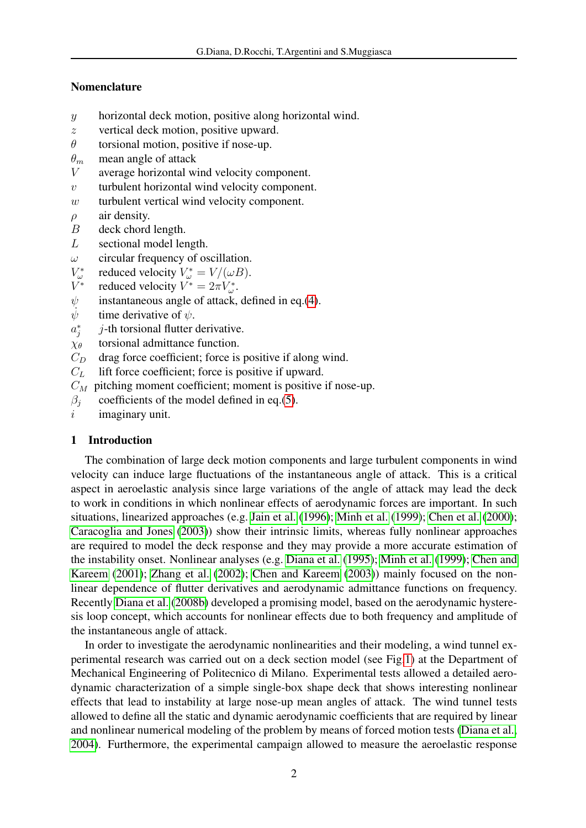# Nomenclature

- y horizontal deck motion, positive along horizontal wind.
- z vertical deck motion, positive upward.
- $\theta$  torsional motion, positive if nose-up.
- $\theta_m$  mean angle of attack
- V average horizontal wind velocity component.
- $v$  turbulent horizontal wind velocity component.
- $w$  turbulent vertical wind velocity component.
- $\rho$  air density.
- B deck chord length.
- L sectional model length.
- $\omega$  circular frequency of oscillation.
- $V^*_\omega$ reduced velocity  $V^*_{\omega} = V/(\omega B)$ .
- V ∗ reduced velocity  $V^* = 2\pi V_{\omega}^*$ .
- $\psi$  instantaneous angle of attack, defined in eq.[\(4\)](#page-11-0).
- $\ddot{\psi}$ time derivative of  $\psi$ .
- $a_j^*$  $j$ -th torsional flutter derivative.
- $\chi_{\theta}$  torsional admittance function.
- $C_D$  drag force coefficient; force is positive if along wind.
- $C<sub>L</sub>$  lift force coefficient; force is positive if upward.
- $C_M$  pitching moment coefficient; moment is positive if nose-up.
- $\beta_i$  coefficients of the model defined in eq.[\(5\)](#page-13-0).
- $i$  imaginary unit.

# 1 Introduction

The combination of large deck motion components and large turbulent components in wind velocity can induce large fluctuations of the instantaneous angle of attack. This is a critical aspect in aeroelastic analysis since large variations of the angle of attack may lead the deck to work in conditions in which nonlinear effects of aerodynamic forces are important. In such situations, linearized approaches (e.g. [Jain et al.](#page-26-0) [\(1996\)](#page-26-0); [Minh et al.](#page-26-1) [\(1999\)](#page-26-1); [Chen et al.](#page-25-0) [\(2000\)](#page-25-0); [Caracoglia and Jones](#page-25-1) [\(2003\)](#page-25-1)) show their intrinsic limits, whereas fully nonlinear approaches are required to model the deck response and they may provide a more accurate estimation of the instability onset. Nonlinear analyses (e.g. [Diana et al.](#page-25-2) [\(1995\)](#page-25-2); [Minh et al.](#page-26-1) [\(1999\)](#page-26-1); [Chen and](#page-25-3) [Kareem](#page-25-3) [\(2001\)](#page-25-3); [Zhang et al.](#page-26-2) [\(2002\)](#page-26-2); [Chen and Kareem](#page-25-4) [\(2003\)](#page-25-4)) mainly focused on the nonlinear dependence of flutter derivatives and aerodynamic admittance functions on frequency. Recently [Diana et al.](#page-25-5) [\(2008b\)](#page-25-5) developed a promising model, based on the aerodynamic hysteresis loop concept, which accounts for nonlinear effects due to both frequency and amplitude of the instantaneous angle of attack.

In order to investigate the aerodynamic nonlinearities and their modeling, a wind tunnel experimental research was carried out on a deck section model (see Fig[.1\)](#page-3-0) at the Department of Mechanical Engineering of Politecnico di Milano. Experimental tests allowed a detailed aerodynamic characterization of a simple single-box shape deck that shows interesting nonlinear effects that lead to instability at large nose-up mean angles of attack. The wind tunnel tests allowed to define all the static and dynamic aerodynamic coefficients that are required by linear and nonlinear numerical modeling of the problem by means of forced motion tests [\(Diana et al.,](#page-25-6) [2004\)](#page-25-6). Furthermore, the experimental campaign allowed to measure the aeroelastic response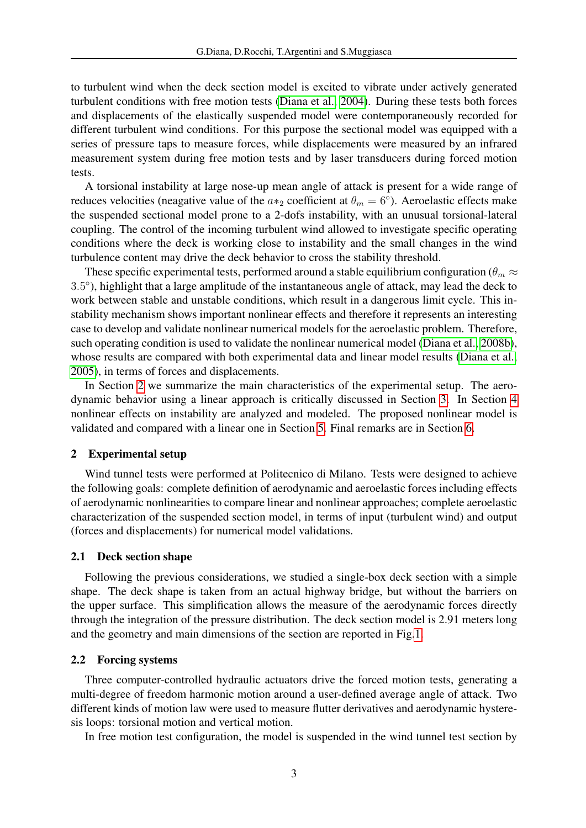to turbulent wind when the deck section model is excited to vibrate under actively generated turbulent conditions with free motion tests [\(Diana et al., 2004\)](#page-25-6). During these tests both forces and displacements of the elastically suspended model were contemporaneously recorded for different turbulent wind conditions. For this purpose the sectional model was equipped with a series of pressure taps to measure forces, while displacements were measured by an infrared measurement system during free motion tests and by laser transducers during forced motion tests.

A torsional instability at large nose-up mean angle of attack is present for a wide range of reduces velocities (neagative value of the  $a*_2$  coefficient at  $\theta_m = 6^{\circ}$ ). Aeroelastic effects make the suspended sectional model prone to a 2-dofs instability, with an unusual torsional-lateral coupling. The control of the incoming turbulent wind allowed to investigate specific operating conditions where the deck is working close to instability and the small changes in the wind turbulence content may drive the deck behavior to cross the stability threshold.

These specific experimental tests, performed around a stable equilibrium configuration ( $\theta_m \approx$ 3.5 ◦ ), highlight that a large amplitude of the instantaneous angle of attack, may lead the deck to work between stable and unstable conditions, which result in a dangerous limit cycle. This instability mechanism shows important nonlinear effects and therefore it represents an interesting case to develop and validate nonlinear numerical models for the aeroelastic problem. Therefore, such operating condition is used to validate the nonlinear numerical model [\(Diana et al., 2008b\)](#page-25-5), whose results are compared with both experimental data and linear model results [\(Diana et al.,](#page-25-7) [2005\)](#page-25-7), in terms of forces and displacements.

In Section [2](#page-2-0) we summarize the main characteristics of the experimental setup. The aerodynamic behavior using a linear approach is critically discussed in Section [3.](#page-5-0) In Section [4](#page-9-0) nonlinear effects on instability are analyzed and modeled. The proposed nonlinear model is validated and compared with a linear one in Section [5.](#page-13-1) Final remarks are in Section [6.](#page-25-8)

## <span id="page-2-0"></span>2 Experimental setup

Wind tunnel tests were performed at Politecnico di Milano. Tests were designed to achieve the following goals: complete definition of aerodynamic and aeroelastic forces including effects of aerodynamic nonlinearities to compare linear and nonlinear approaches; complete aeroelastic characterization of the suspended section model, in terms of input (turbulent wind) and output (forces and displacements) for numerical model validations.

### 2.1 Deck section shape

Following the previous considerations, we studied a single-box deck section with a simple shape. The deck shape is taken from an actual highway bridge, but without the barriers on the upper surface. This simplification allows the measure of the aerodynamic forces directly through the integration of the pressure distribution. The deck section model is 2.91 meters long and the geometry and main dimensions of the section are reported in Fig[.1.](#page-3-0)

#### 2.2 Forcing systems

Three computer-controlled hydraulic actuators drive the forced motion tests, generating a multi-degree of freedom harmonic motion around a user-defined average angle of attack. Two different kinds of motion law were used to measure flutter derivatives and aerodynamic hysteresis loops: torsional motion and vertical motion.

In free motion test configuration, the model is suspended in the wind tunnel test section by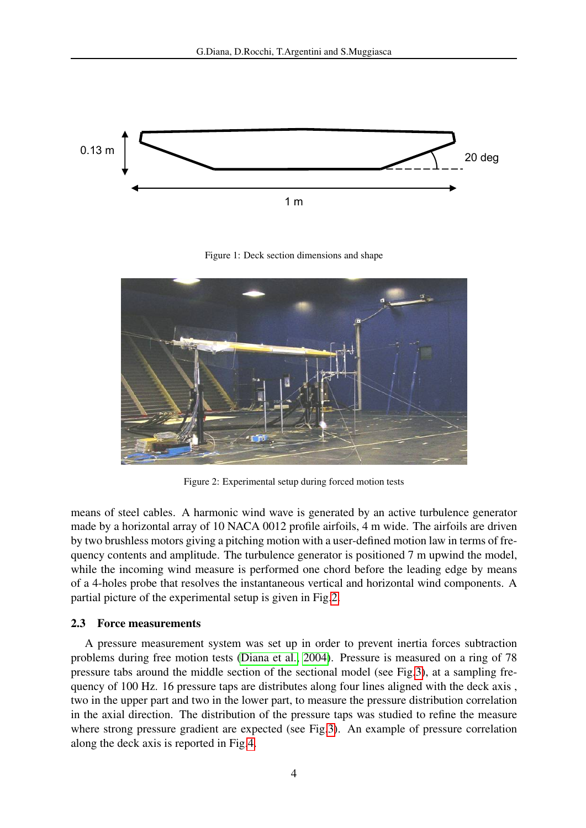

<span id="page-3-0"></span>Figure 1: Deck section dimensions and shape



Figure 2: Experimental setup during forced motion tests

<span id="page-3-1"></span>means of steel cables. A harmonic wind wave is generated by an active turbulence generator made by a horizontal array of 10 NACA 0012 profile airfoils, 4 m wide. The airfoils are driven by two brushless motors giving a pitching motion with a user-defined motion law in terms of frequency contents and amplitude. The turbulence generator is positioned 7 m upwind the model, while the incoming wind measure is performed one chord before the leading edge by means of a 4-holes probe that resolves the instantaneous vertical and horizontal wind components. A partial picture of the experimental setup is given in Fig[.2.](#page-3-1)

#### 2.3 Force measurements

A pressure measurement system was set up in order to prevent inertia forces subtraction problems during free motion tests [\(Diana et al., 2004\)](#page-25-6). Pressure is measured on a ring of 78 pressure tabs around the middle section of the sectional model (see Fig[.3\)](#page-4-0), at a sampling frequency of 100 Hz. 16 pressure taps are distributes along four lines aligned with the deck axis , two in the upper part and two in the lower part, to measure the pressure distribution correlation in the axial direction. The distribution of the pressure taps was studied to refine the measure where strong pressure gradient are expected (see Fig[.3\)](#page-4-0). An example of pressure correlation along the deck axis is reported in Fig[.4.](#page-4-1)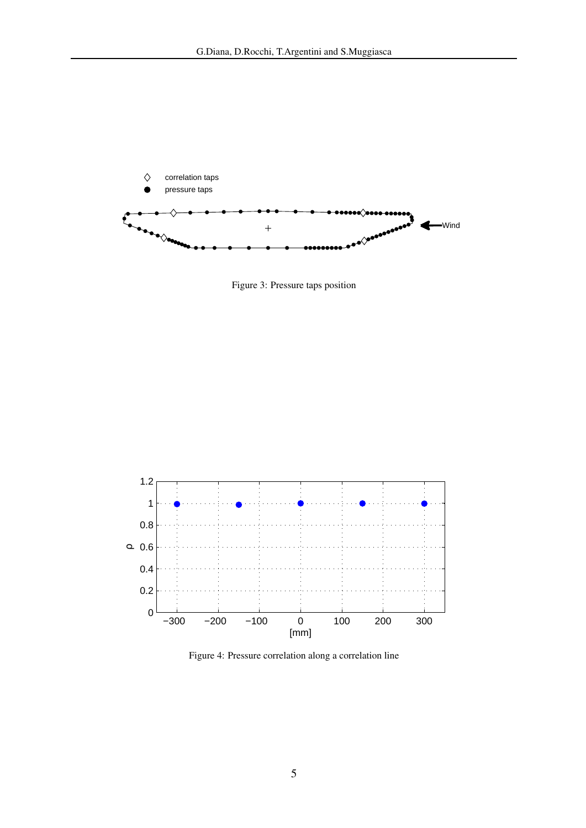

<span id="page-4-0"></span>Figure 3: Pressure taps position



<span id="page-4-1"></span>Figure 4: Pressure correlation along a correlation line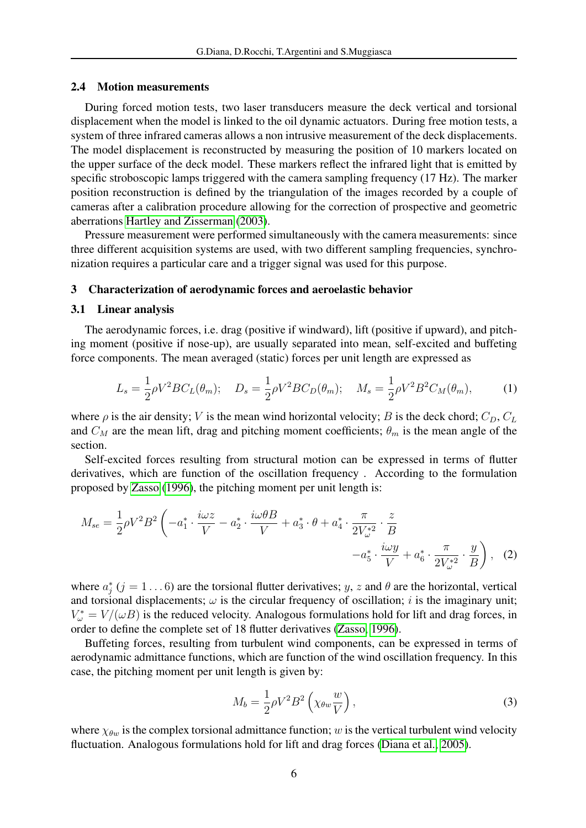### 2.4 Motion measurements

During forced motion tests, two laser transducers measure the deck vertical and torsional displacement when the model is linked to the oil dynamic actuators. During free motion tests, a system of three infrared cameras allows a non intrusive measurement of the deck displacements. The model displacement is reconstructed by measuring the position of 10 markers located on the upper surface of the deck model. These markers reflect the infrared light that is emitted by specific stroboscopic lamps triggered with the camera sampling frequency (17 Hz). The marker position reconstruction is defined by the triangulation of the images recorded by a couple of cameras after a calibration procedure allowing for the correction of prospective and geometric aberrations [Hartley and Zisserman](#page-25-9) [\(2003\)](#page-25-9).

Pressure measurement were performed simultaneously with the camera measurements: since three different acquisition systems are used, with two different sampling frequencies, synchronization requires a particular care and a trigger signal was used for this purpose.

#### <span id="page-5-0"></span>3 Characterization of aerodynamic forces and aeroelastic behavior

#### 3.1 Linear analysis

The aerodynamic forces, i.e. drag (positive if windward), lift (positive if upward), and pitching moment (positive if nose-up), are usually separated into mean, self-excited and buffeting force components. The mean averaged (static) forces per unit length are expressed as

$$
L_s = \frac{1}{2}\rho V^2 BC_L(\theta_m); \quad D_s = \frac{1}{2}\rho V^2 BC_D(\theta_m); \quad M_s = \frac{1}{2}\rho V^2 B^2 C_M(\theta_m), \tag{1}
$$

where  $\rho$  is the air density; V is the mean wind horizontal velocity; B is the deck chord;  $C_D$ ,  $C_L$ and  $C_M$  are the mean lift, drag and pitching moment coefficients;  $\theta_m$  is the mean angle of the section.

Self-excited forces resulting from structural motion can be expressed in terms of flutter derivatives, which are function of the oscillation frequency . According to the formulation proposed by [Zasso](#page-26-3) [\(1996\)](#page-26-3), the pitching moment per unit length is:

$$
M_{se} = \frac{1}{2}\rho V^2 B^2 \left( -a_1^* \cdot \frac{i\omega z}{V} - a_2^* \cdot \frac{i\omega \theta B}{V} + a_3^* \cdot \theta + a_4^* \cdot \frac{\pi}{2V_{\omega}^{*2}} \cdot \frac{z}{B} - a_5^* \cdot \frac{i\omega y}{V} + a_6^* \cdot \frac{\pi}{2V_{\omega}^{*2}} \cdot \frac{y}{B} \right), \tag{2}
$$

where  $a_j^*(j = 1...6)$  are the torsional flutter derivatives; y, z and  $\theta$  are the horizontal, vertical and torsional displacements;  $\omega$  is the circular frequency of oscillation; i is the imaginary unit;  $V^*_{\omega} = V/(\omega B)$  is the reduced velocity. Analogous formulations hold for lift and drag forces, in order to define the complete set of 18 flutter derivatives [\(Zasso, 1996\)](#page-26-3).

Buffeting forces, resulting from turbulent wind components, can be expressed in terms of aerodynamic admittance functions, which are function of the wind oscillation frequency. In this case, the pitching moment per unit length is given by:

<span id="page-5-1"></span>
$$
M_b = \frac{1}{2}\rho V^2 B^2 \left(\chi_{\theta w} \frac{w}{V}\right),\tag{3}
$$

where  $\chi_{\theta w}$  is the complex torsional admittance function; w is the vertical turbulent wind velocity fluctuation. Analogous formulations hold for lift and drag forces [\(Diana et al., 2005\)](#page-25-7).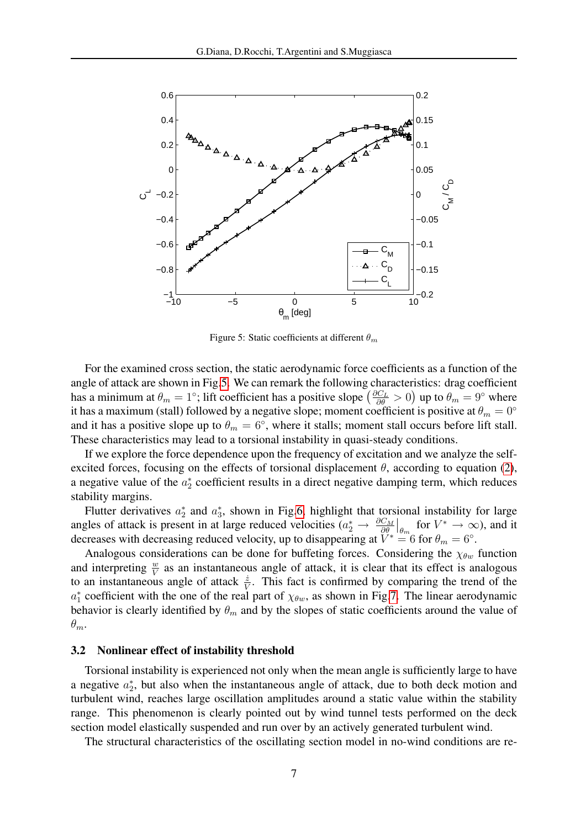

<span id="page-6-0"></span>Figure 5: Static coefficients at different  $\theta_m$ 

For the examined cross section, the static aerodynamic force coefficients as a function of the angle of attack are shown in Fig[.5.](#page-6-0) We can remark the following characteristics: drag coefficient has a minimum at  $\theta_m = 1^\circ$ ; lift coefficient has a positive slope  $\left(\frac{\partial C_L}{\partial \theta} > 0\right)$  up to  $\theta_m = 9^\circ$  where it has a maximum (stall) followed by a negative slope; moment coefficient is positive at  $\theta_m = 0^\circ$ and it has a positive slope up to  $\theta_m = 6^\circ$ , where it stalls; moment stall occurs before lift stall. These characteristics may lead to a torsional instability in quasi-steady conditions.

If we explore the force dependence upon the frequency of excitation and we analyze the selfexcited forces, focusing on the effects of torsional displacement  $\theta$ , according to equation [\(2\)](#page-5-1), a negative value of the  $a_2^*$  coefficient results in a direct negative damping term, which reduces stability margins.

Flutter derivatives  $a_2^*$  and  $a_3^*$ , shown in Fig[.6,](#page-7-0) highlight that torsional instability for large  $_2$  and  $u_3$ angles of attack is present in at large reduced velocities  $(a_2^* \rightarrow \frac{\partial C_M}{\partial \theta}\Big|_{\theta_m}$  for  $V^* \rightarrow \infty$ ), and it decreases with decreasing reduced velocity, up to disappearing at  $\tilde{V}^* = 6$  for  $\theta_m = 6^\circ$ .

Analogous considerations can be done for buffeting forces. Considering the  $\chi_{\theta w}$  function and interpreting  $\frac{w}{V}$  as an instantaneous angle of attack, it is clear that its effect is analogous to an instantaneous angle of attack  $\frac{\dot{z}}{V}$ . This fact is confirmed by comparing the trend of the  $a_1^*$  coefficient with the one of the real part of  $\chi_{\theta w}$ , as shown in Fig[.7.](#page-8-0) The linear aerodynamic behavior is clearly identified by  $\theta_m$  and by the slopes of static coefficients around the value of  $\theta_m$ .

#### <span id="page-6-1"></span>3.2 Nonlinear effect of instability threshold

Torsional instability is experienced not only when the mean angle is sufficiently large to have a negative  $a_2^*$ , but also when the instantaneous angle of attack, due to both deck motion and turbulent wind, reaches large oscillation amplitudes around a static value within the stability range. This phenomenon is clearly pointed out by wind tunnel tests performed on the deck section model elastically suspended and run over by an actively generated turbulent wind.

The structural characteristics of the oscillating section model in no-wind conditions are re-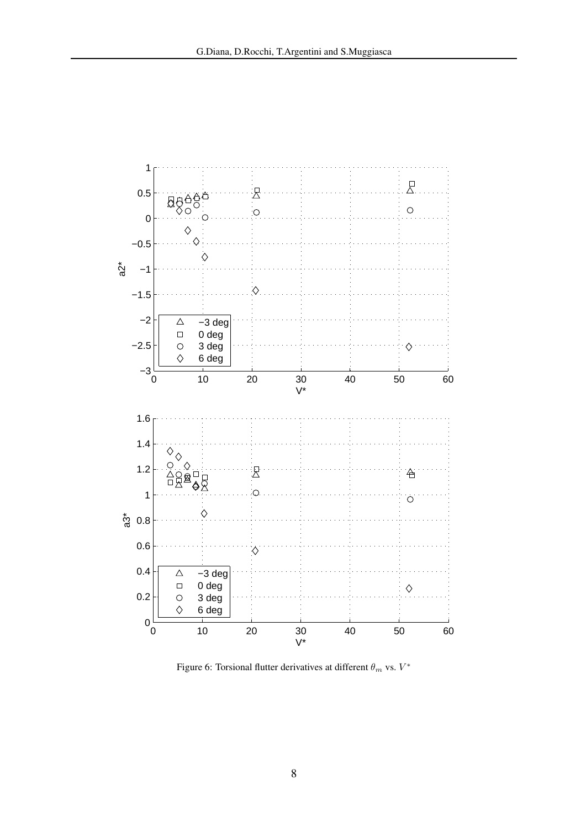

<span id="page-7-0"></span>Figure 6: Torsional flutter derivatives at different  $\theta_m$  vs.  $V^*$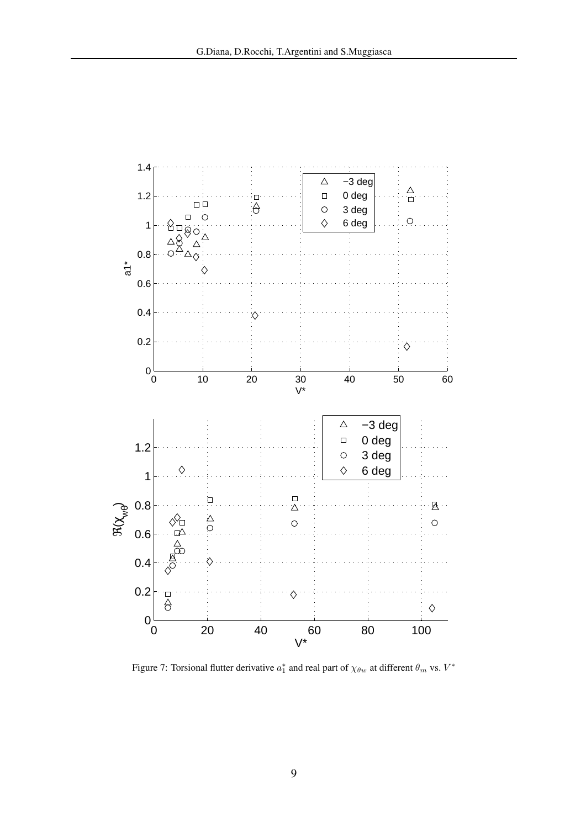

<span id="page-8-0"></span>Figure 7: Torsional flutter derivative  $a_1^*$  and real part of  $\chi_{\theta w}$  at different  $\theta_m$  vs.  $V^*$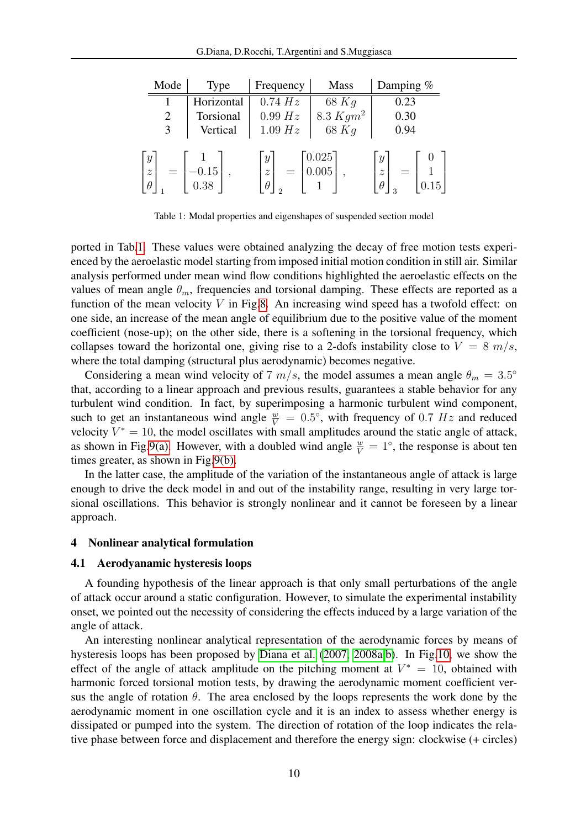| Mode                                                      | <b>Type</b> | Frequency                                      | <b>Mass</b> | Damping $%$                                                           |
|-----------------------------------------------------------|-------------|------------------------------------------------|-------------|-----------------------------------------------------------------------|
|                                                           | Horizontal  | 0.74 Hz                                        | $68$ Kg     | 0.23                                                                  |
| $\overline{2}$                                            | Torsional   | 0.99 Hz                                        | 8.3 $Kgm^2$ | 0.30                                                                  |
| 3                                                         | Vertical    | 1.09 Hz                                        | $68$ Kg     | 0.94                                                                  |
| $\boldsymbol{y}$<br>$\widetilde{\mathcal{Z}}$<br>$\theta$ | 0.38        | $\boldsymbol{y}$<br>$\overline{z}$<br>$\theta$ | 0.025       | $\boldsymbol{y}$<br>U<br>$\widetilde{\mathcal{Z}}$<br>.15<br>$\theta$ |

<span id="page-9-1"></span>Table 1: Modal properties and eigenshapes of suspended section model

ported in Tab[.1.](#page-9-1) These values were obtained analyzing the decay of free motion tests experienced by the aeroelastic model starting from imposed initial motion condition in still air. Similar analysis performed under mean wind flow conditions highlighted the aeroelastic effects on the values of mean angle  $\theta_m$ , frequencies and torsional damping. These effects are reported as a function of the mean velocity  $V$  in Fig[.8.](#page-10-0) An increasing wind speed has a twofold effect: on one side, an increase of the mean angle of equilibrium due to the positive value of the moment coefficient (nose-up); on the other side, there is a softening in the torsional frequency, which collapses toward the horizontal one, giving rise to a 2-dofs instability close to  $V = 8$  m/s, where the total damping (structural plus aerodynamic) becomes negative.

Considering a mean wind velocity of 7  $m/s$ , the model assumes a mean angle  $\theta_m = 3.5^\circ$ that, according to a linear approach and previous results, guarantees a stable behavior for any turbulent wind condition. In fact, by superimposing a harmonic turbulent wind component, such to get an instantaneous wind angle  $\frac{w}{V} = 0.5^{\circ}$ , with frequency of 0.7 Hz and reduced velocity  $V^* = 10$ , the model oscillates with small amplitudes around the static angle of attack, as shown in Fig[.9\(a\).](#page-11-1) However, with a doubled wind angle  $\frac{w}{V} = 1^\circ$ , the response is about ten times greater, as shown in Fig[.9\(b\).](#page-11-2)

In the latter case, the amplitude of the variation of the instantaneous angle of attack is large enough to drive the deck model in and out of the instability range, resulting in very large torsional oscillations. This behavior is strongly nonlinear and it cannot be foreseen by a linear approach.

#### <span id="page-9-0"></span>4 Nonlinear analytical formulation

#### <span id="page-9-2"></span>4.1 Aerodyanamic hysteresis loops

A founding hypothesis of the linear approach is that only small perturbations of the angle of attack occur around a static configuration. However, to simulate the experimental instability onset, we pointed out the necessity of considering the effects induced by a large variation of the angle of attack.

An interesting nonlinear analytical representation of the aerodynamic forces by means of hysteresis loops has been proposed by [Diana et al.](#page-25-10) [\(2007,](#page-25-10) [2008a,](#page-25-11)[b\)](#page-25-5). In Fig[.10,](#page-12-0) we show the effect of the angle of attack amplitude on the pitching moment at  $V^* = 10$ , obtained with harmonic forced torsional motion tests, by drawing the aerodynamic moment coefficient versus the angle of rotation  $\theta$ . The area enclosed by the loops represents the work done by the aerodynamic moment in one oscillation cycle and it is an index to assess whether energy is dissipated or pumped into the system. The direction of rotation of the loop indicates the relative phase between force and displacement and therefore the energy sign: clockwise (+ circles)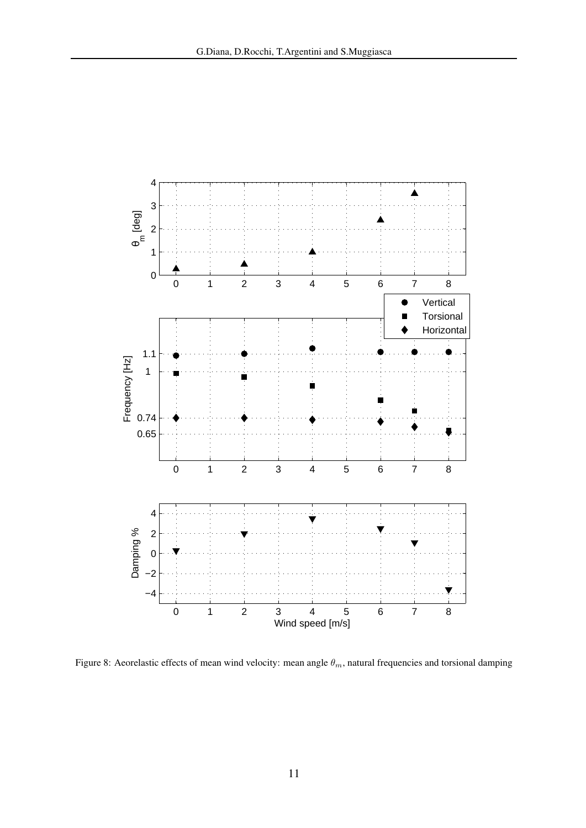

<span id="page-10-0"></span>Figure 8: Aeorelastic effects of mean wind velocity: mean angle  $\theta_m$ , natural frequencies and torsional damping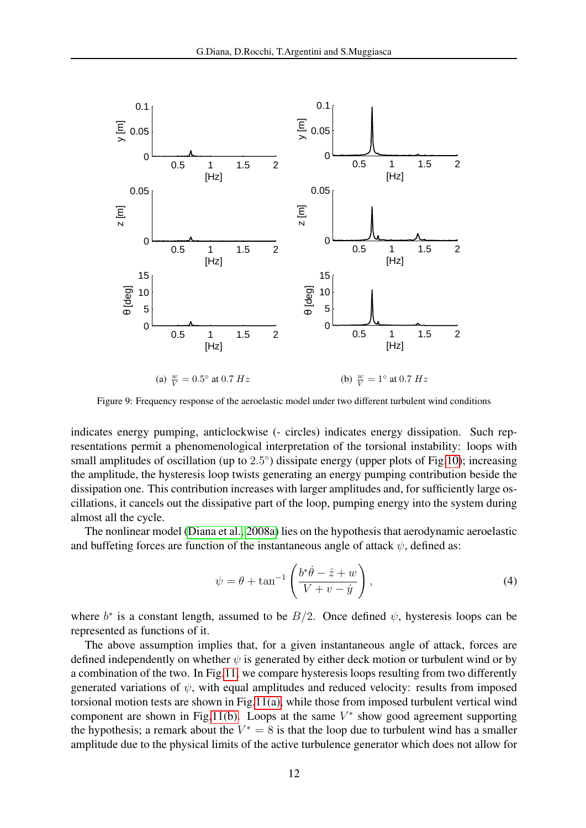<span id="page-11-1"></span>

<span id="page-11-2"></span>Figure 9: Frequency response of the aeroelastic model under two different turbulent wind conditions

indicates energy pumping, anticlockwise (- circles) indicates energy dissipation. Such representations permit a phenomenological interpretation of the torsional instability: loops with small amplitudes of oscillation (up to 2.5°) dissipate energy (upper plots of Fig[.10\)](#page-12-0); increasing the amplitude, the hysteresis loop twists generating an energy pumping contribution beside the dissipation one. This contribution increases with larger amplitudes and, for sufficiently large oscillations, it cancels out the dissipative part of the loop, pumping energy into the system during almost all the cycle.

The nonlinear model [\(Diana et al., 2008a\)](#page-25-11) lies on the hypothesis that aerodynamic aeroelastic and buffeting forces are function of the instantaneous angle of attack  $\psi$ , defined as:

<span id="page-11-0"></span>
$$
\psi = \theta + \tan^{-1} \left( \frac{b^* \dot{\theta} - \dot{z} + w}{V + v - \dot{y}} \right),\tag{4}
$$

where  $b^*$  is a constant length, assumed to be  $B/2$ . Once defined  $\psi$ , hysteresis loops can be represented as functions of it.

The above assumption implies that, for a given instantaneous angle of attack, forces are defined independently on whether  $\psi$  is generated by either deck motion or turbulent wind or by a combination of the two. In Fig[.11,](#page-14-0) we compare hysteresis loops resulting from two differently generated variations of  $\psi$ , with equal amplitudes and reduced velocity: results from imposed torsional motion tests are shown in Fig[.11\(a\),](#page-14-1) while those from imposed turbulent vertical wind component are shown in Fig[.11\(b\).](#page-14-2) Loops at the same  $V^*$  show good agreement supporting the hypothesis; a remark about the  $V^* = 8$  is that the loop due to turbulent wind has a smaller amplitude due to the physical limits of the active turbulence generator which does not allow for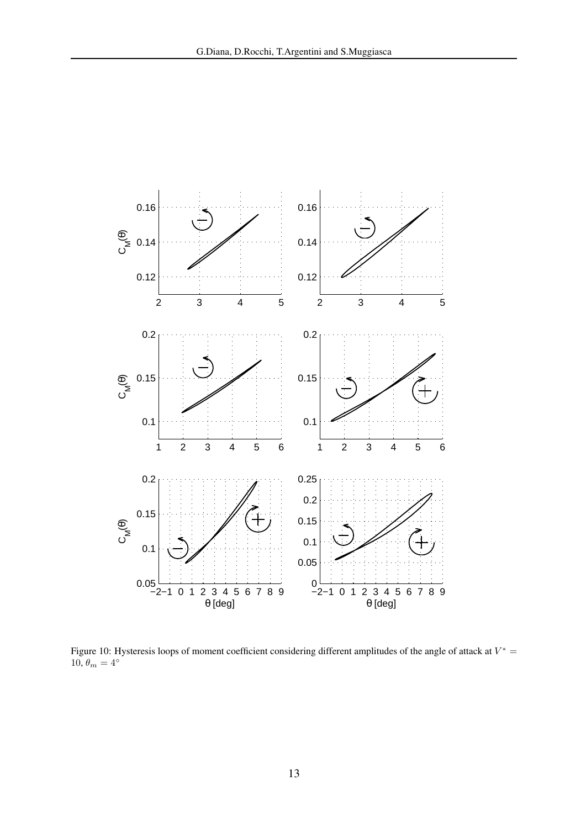

<span id="page-12-0"></span>Figure 10: Hysteresis loops of moment coefficient considering different amplitudes of the angle of attack at  $V^*$  = 10,  $\theta_m = 4^\circ$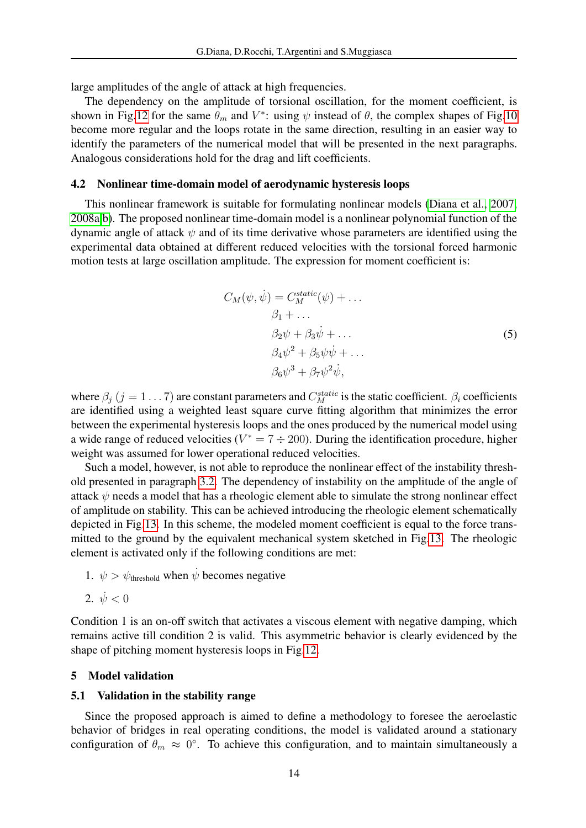large amplitudes of the angle of attack at high frequencies.

The dependency on the amplitude of torsional oscillation, for the moment coefficient, is shown in Fig[.12](#page-15-0) for the same  $\theta_m$  and  $V^*$ : using  $\psi$  instead of  $\theta$ , the complex shapes of Fig[.10](#page-12-0) become more regular and the loops rotate in the same direction, resulting in an easier way to identify the parameters of the numerical model that will be presented in the next paragraphs. Analogous considerations hold for the drag and lift coefficients.

#### 4.2 Nonlinear time-domain model of aerodynamic hysteresis loops

<span id="page-13-0"></span>This nonlinear framework is suitable for formulating nonlinear models [\(Diana et al., 2007,](#page-25-10) [2008a](#page-25-11)[,b\)](#page-25-5). The proposed nonlinear time-domain model is a nonlinear polynomial function of the dynamic angle of attack  $\psi$  and of its time derivative whose parameters are identified using the experimental data obtained at different reduced velocities with the torsional forced harmonic motion tests at large oscillation amplitude. The expression for moment coefficient is:

$$
C_M(\psi, \dot{\psi}) = C_M^{static}(\psi) + \dots
$$
  
\n
$$
\beta_1 + \dots
$$
  
\n
$$
\beta_2 \psi + \beta_3 \dot{\psi} + \dots
$$
  
\n
$$
\beta_4 \psi^2 + \beta_5 \psi \dot{\psi} + \dots
$$
  
\n
$$
\beta_6 \psi^3 + \beta_7 \psi^2 \dot{\psi},
$$
  
\n(5)

where  $\beta_j$  ( $j = 1...7$ ) are constant parameters and  $C_M^{static}$  is the static coefficient.  $\beta_i$  coefficients are identified using a weighted least square curve fitting algorithm that minimizes the error between the experimental hysteresis loops and the ones produced by the numerical model using a wide range of reduced velocities ( $V^* = 7 \div 200$ ). During the identification procedure, higher weight was assumed for lower operational reduced velocities.

Such a model, however, is not able to reproduce the nonlinear effect of the instability threshold presented in paragraph [3.2.](#page-6-1) The dependency of instability on the amplitude of the angle of attack  $\psi$  needs a model that has a rheologic element able to simulate the strong nonlinear effect of amplitude on stability. This can be achieved introducing the rheologic element schematically depicted in Fig[.13.](#page-15-1) In this scheme, the modeled moment coefficient is equal to the force transmitted to the ground by the equivalent mechanical system sketched in Fig[.13.](#page-15-1) The rheologic element is activated only if the following conditions are met:

1.  $\psi > \psi_{\text{threshold}}$  when  $\dot{\psi}$  becomes negative

2. 
$$
\dot{\psi} < 0
$$

Condition 1 is an on-off switch that activates a viscous element with negative damping, which remains active till condition 2 is valid. This asymmetric behavior is clearly evidenced by the shape of pitching moment hysteresis loops in Fig[.12.](#page-15-0)

# <span id="page-13-1"></span>5 Model validation

### 5.1 Validation in the stability range

Since the proposed approach is aimed to define a methodology to foresee the aeroelastic behavior of bridges in real operating conditions, the model is validated around a stationary configuration of  $\theta_m \approx 0^\circ$ . To achieve this configuration, and to maintain simultaneously a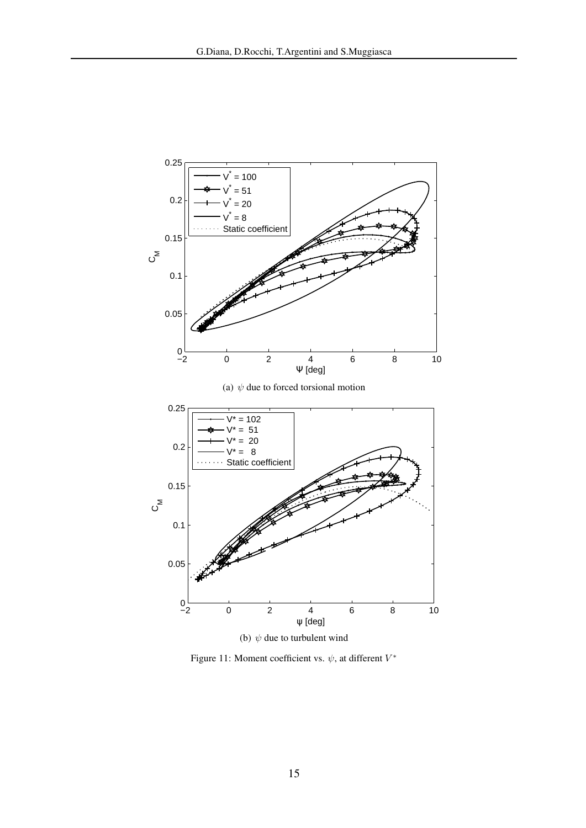<span id="page-14-1"></span>

<span id="page-14-2"></span><span id="page-14-0"></span>Figure 11: Moment coefficient vs.  $\psi$ , at different  $V^*$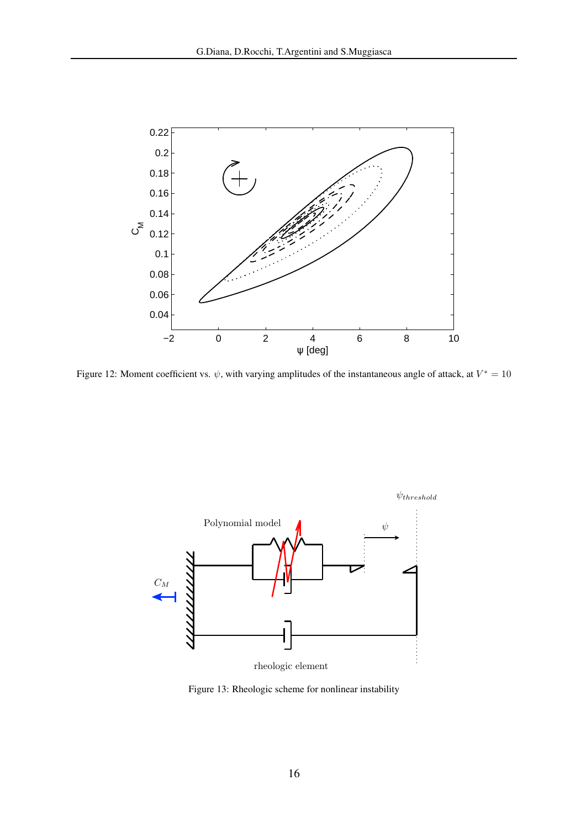

<span id="page-15-0"></span>Figure 12: Moment coefficient vs.  $\psi$ , with varying amplitudes of the instantaneous angle of attack, at  $V^* = 10$ 



<span id="page-15-1"></span>Figure 13: Rheologic scheme for nonlinear instability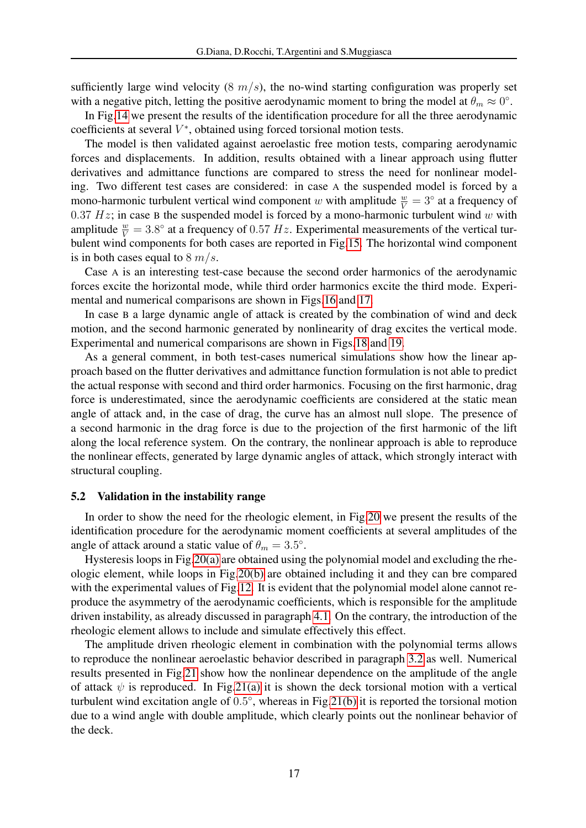sufficiently large wind velocity  $(8 \frac{m}{s})$ , the no-wind starting configuration was properly set with a negative pitch, letting the positive aerodynamic moment to bring the model at  $\theta_m \approx 0^\circ$ .

In Fig[.14](#page-17-0) we present the results of the identification procedure for all the three aerodynamic coefficients at several  $V^*$ , obtained using forced torsional motion tests.

The model is then validated against aeroelastic free motion tests, comparing aerodynamic forces and displacements. In addition, results obtained with a linear approach using flutter derivatives and admittance functions are compared to stress the need for nonlinear modeling. Two different test cases are considered: in case A the suspended model is forced by a mono-harmonic turbulent vertical wind component w with amplitude  $\frac{w}{V} = 3^\circ$  at a frequency of 0.37  $Hz$ ; in case B the suspended model is forced by a mono-harmonic turbulent wind w with amplitude  $\frac{w}{V} = 3.8^{\circ}$  at a frequency of 0.57 Hz. Experimental measurements of the vertical turbulent wind components for both cases are reported in Fig[.15.](#page-18-0) The horizontal wind component is in both cases equal to  $8 \frac{m}{s}$ .

Case A is an interesting test-case because the second order harmonics of the aerodynamic forces excite the horizontal mode, while third order harmonics excite the third mode. Experimental and numerical comparisons are shown in Figs[.16](#page-19-0) and [17.](#page-20-0)

In case B a large dynamic angle of attack is created by the combination of wind and deck motion, and the second harmonic generated by nonlinearity of drag excites the vertical mode. Experimental and numerical comparisons are shown in Figs[.18](#page-21-0) and [19.](#page-22-0)

As a general comment, in both test-cases numerical simulations show how the linear approach based on the flutter derivatives and admittance function formulation is not able to predict the actual response with second and third order harmonics. Focusing on the first harmonic, drag force is underestimated, since the aerodynamic coefficients are considered at the static mean angle of attack and, in the case of drag, the curve has an almost null slope. The presence of a second harmonic in the drag force is due to the projection of the first harmonic of the lift along the local reference system. On the contrary, the nonlinear approach is able to reproduce the nonlinear effects, generated by large dynamic angles of attack, which strongly interact with structural coupling.

#### 5.2 Validation in the instability range

In order to show the need for the rheologic element, in Fig[.20](#page-23-0) we present the results of the identification procedure for the aerodynamic moment coefficients at several amplitudes of the angle of attack around a static value of  $\theta_m = 3.5^{\circ}$ .

Hysteresis loops in Fig[.20\(a\)](#page-23-1) are obtained using the polynomial model and excluding the rheologic element, while loops in Fig[.20\(b\)](#page-23-2) are obtained including it and they can bre compared with the experimental values of Fig[.12.](#page-15-0) It is evident that the polynomial model alone cannot reproduce the asymmetry of the aerodynamic coefficients, which is responsible for the amplitude driven instability, as already discussed in paragraph [4.1.](#page-9-2) On the contrary, the introduction of the rheologic element allows to include and simulate effectively this effect.

The amplitude driven rheologic element in combination with the polynomial terms allows to reproduce the nonlinear aeroelastic behavior described in paragraph [3.2](#page-6-1) as well. Numerical results presented in Fig[.21](#page-24-0) show how the nonlinear dependence on the amplitude of the angle of attack  $\psi$  is reproduced. In Fig[.21\(a\)](#page-24-1) it is shown the deck torsional motion with a vertical turbulent wind excitation angle of 0.5°, whereas in Fig[.21\(b\)](#page-24-2) it is reported the torsional motion due to a wind angle with double amplitude, which clearly points out the nonlinear behavior of the deck.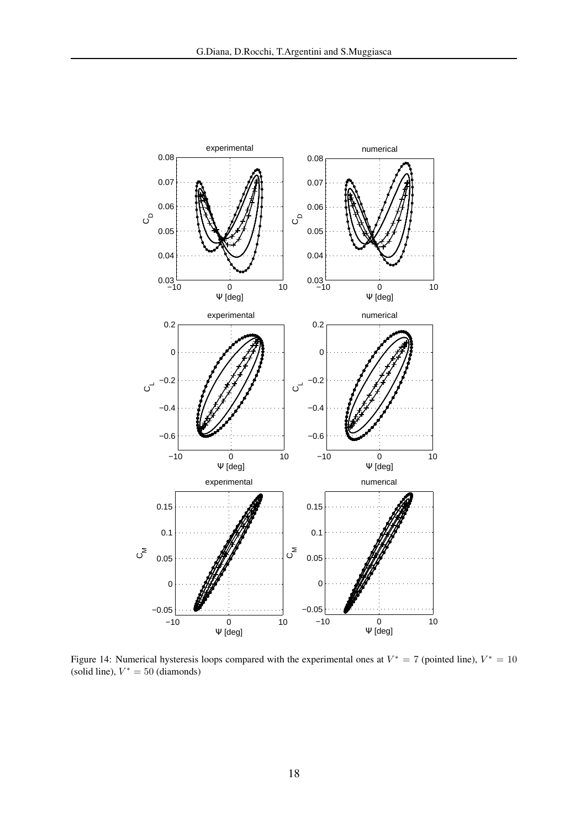

<span id="page-17-0"></span>Figure 14: Numerical hysteresis loops compared with the experimental ones at  $V^* = 7$  (pointed line),  $V^* = 10$ (solid line),  $V^* = 50$  (diamonds)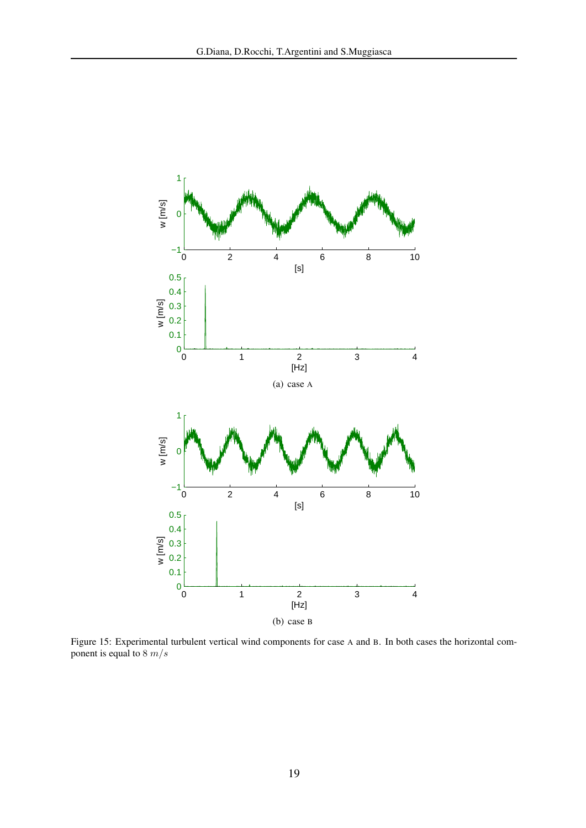

<span id="page-18-0"></span>Figure 15: Experimental turbulent vertical wind components for case A and B. In both cases the horizontal component is equal to  $8 \, m/s$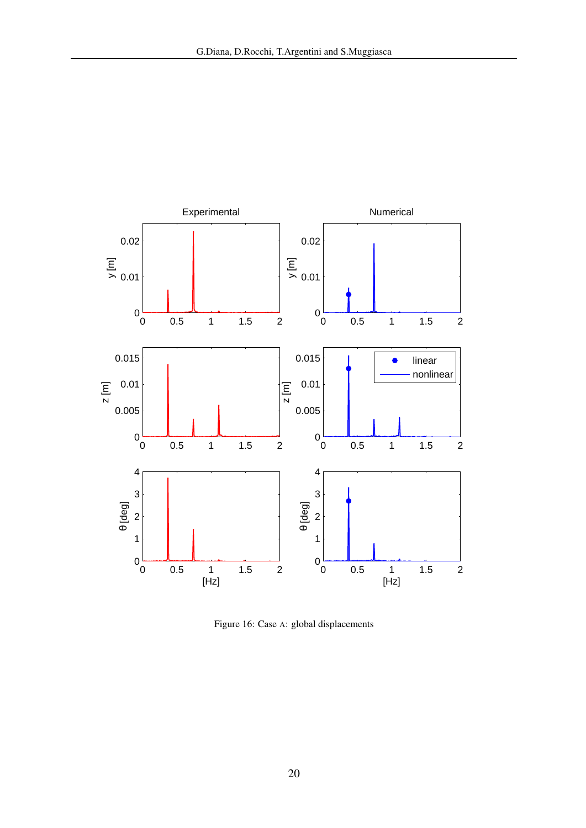

<span id="page-19-0"></span>Figure 16: Case A: global displacements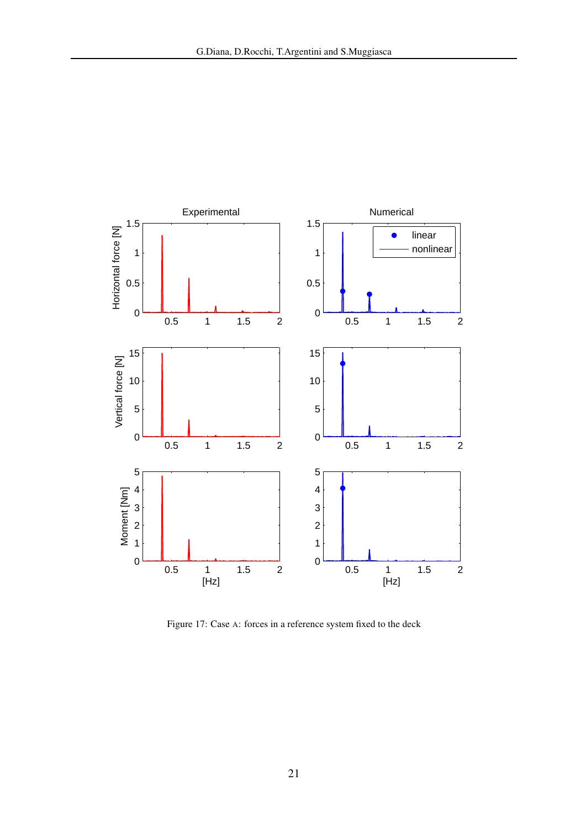

<span id="page-20-0"></span>Figure 17: Case A: forces in a reference system fixed to the deck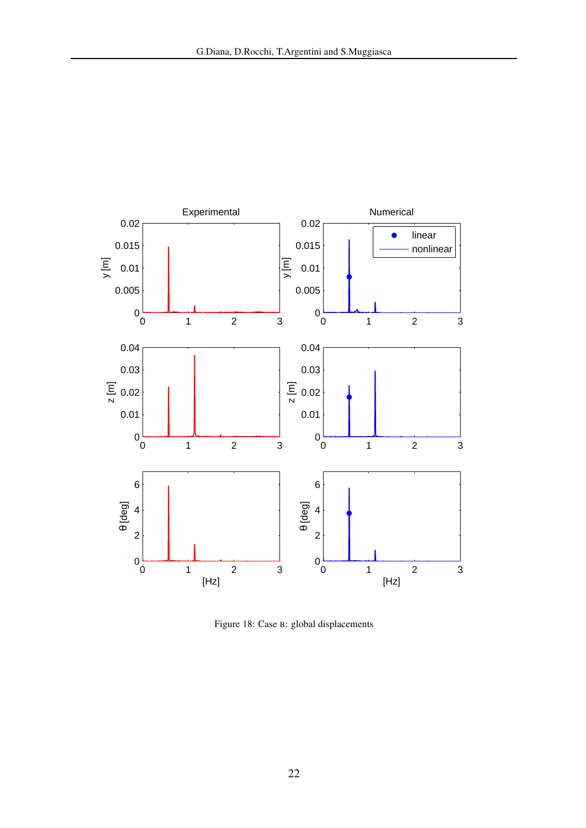

<span id="page-21-0"></span>Figure 18: Case B: global displacements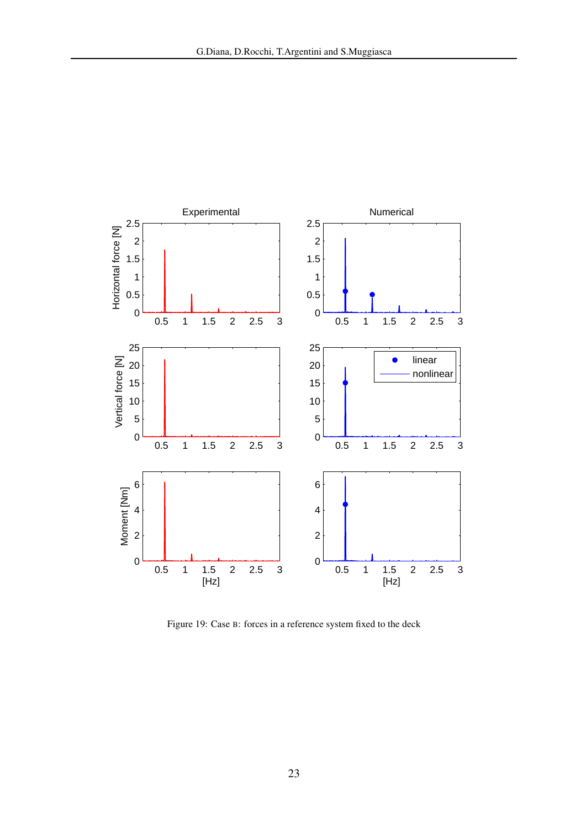

<span id="page-22-0"></span>Figure 19: Case B: forces in a reference system fixed to the deck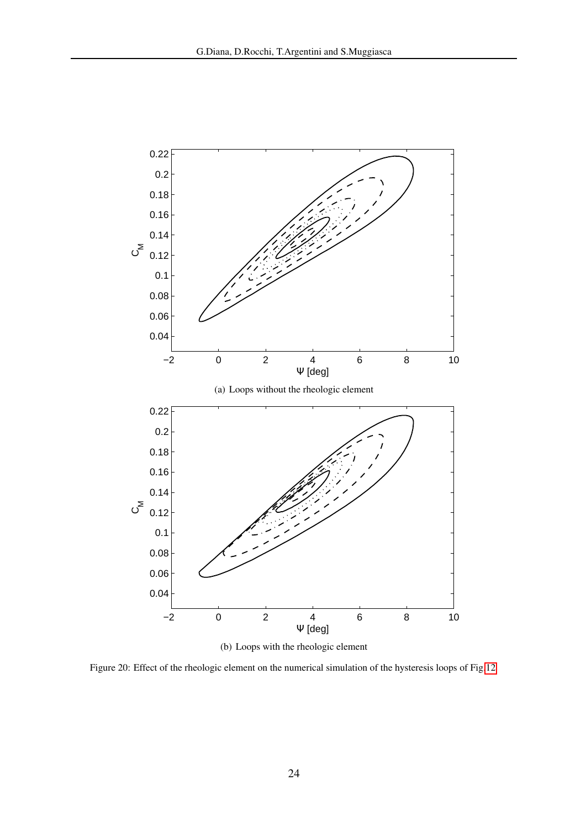<span id="page-23-2"></span><span id="page-23-1"></span>

(b) Loops with the rheologic element

<span id="page-23-0"></span>Figure 20: Effect of the rheologic element on the numerical simulation of the hysteresis loops of Fig[.12](#page-15-0)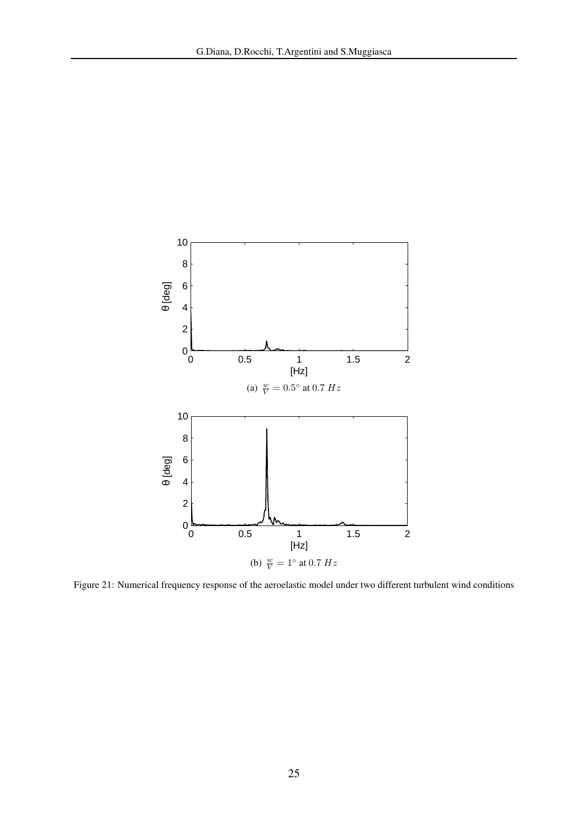<span id="page-24-1"></span>

<span id="page-24-2"></span><span id="page-24-0"></span>Figure 21: Numerical frequency response of the aeroelastic model under two different turbulent wind conditions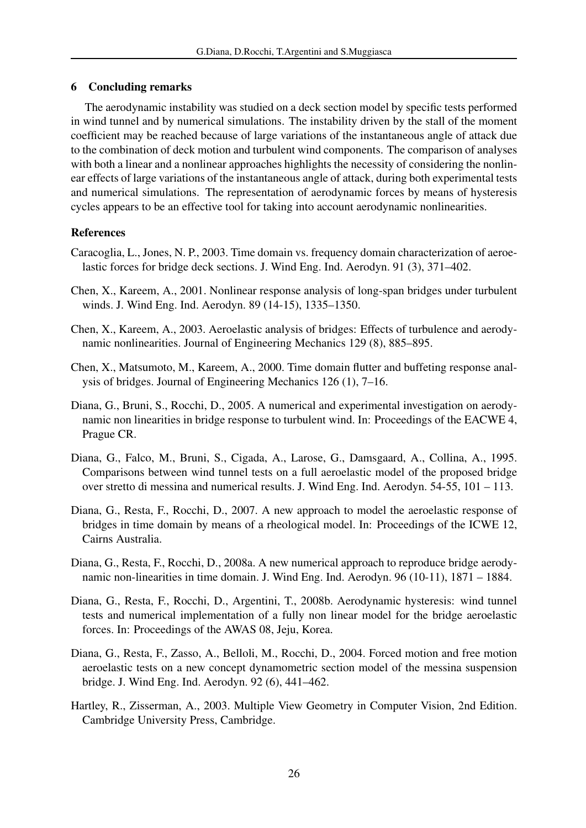# <span id="page-25-8"></span>6 Concluding remarks

The aerodynamic instability was studied on a deck section model by specific tests performed in wind tunnel and by numerical simulations. The instability driven by the stall of the moment coefficient may be reached because of large variations of the instantaneous angle of attack due to the combination of deck motion and turbulent wind components. The comparison of analyses with both a linear and a nonlinear approaches highlights the necessity of considering the nonlinear effects of large variations of the instantaneous angle of attack, during both experimental tests and numerical simulations. The representation of aerodynamic forces by means of hysteresis cycles appears to be an effective tool for taking into account aerodynamic nonlinearities.

# References

- <span id="page-25-1"></span>Caracoglia, L., Jones, N. P., 2003. Time domain vs. frequency domain characterization of aeroelastic forces for bridge deck sections. J. Wind Eng. Ind. Aerodyn. 91 (3), 371–402.
- <span id="page-25-3"></span>Chen, X., Kareem, A., 2001. Nonlinear response analysis of long-span bridges under turbulent winds. J. Wind Eng. Ind. Aerodyn. 89 (14-15), 1335–1350.
- <span id="page-25-4"></span>Chen, X., Kareem, A., 2003. Aeroelastic analysis of bridges: Effects of turbulence and aerodynamic nonlinearities. Journal of Engineering Mechanics 129 (8), 885–895.
- <span id="page-25-0"></span>Chen, X., Matsumoto, M., Kareem, A., 2000. Time domain flutter and buffeting response analysis of bridges. Journal of Engineering Mechanics 126 (1), 7–16.
- <span id="page-25-7"></span>Diana, G., Bruni, S., Rocchi, D., 2005. A numerical and experimental investigation on aerodynamic non linearities in bridge response to turbulent wind. In: Proceedings of the EACWE 4, Prague CR.
- <span id="page-25-2"></span>Diana, G., Falco, M., Bruni, S., Cigada, A., Larose, G., Damsgaard, A., Collina, A., 1995. Comparisons between wind tunnel tests on a full aeroelastic model of the proposed bridge over stretto di messina and numerical results. J. Wind Eng. Ind. Aerodyn. 54-55, 101 – 113.
- <span id="page-25-10"></span>Diana, G., Resta, F., Rocchi, D., 2007. A new approach to model the aeroelastic response of bridges in time domain by means of a rheological model. In: Proceedings of the ICWE 12, Cairns Australia.
- <span id="page-25-11"></span>Diana, G., Resta, F., Rocchi, D., 2008a. A new numerical approach to reproduce bridge aerodynamic non-linearities in time domain. J. Wind Eng. Ind. Aerodyn. 96 (10-11), 1871 – 1884.
- <span id="page-25-5"></span>Diana, G., Resta, F., Rocchi, D., Argentini, T., 2008b. Aerodynamic hysteresis: wind tunnel tests and numerical implementation of a fully non linear model for the bridge aeroelastic forces. In: Proceedings of the AWAS 08, Jeju, Korea.
- <span id="page-25-6"></span>Diana, G., Resta, F., Zasso, A., Belloli, M., Rocchi, D., 2004. Forced motion and free motion aeroelastic tests on a new concept dynamometric section model of the messina suspension bridge. J. Wind Eng. Ind. Aerodyn. 92 (6), 441–462.
- <span id="page-25-9"></span>Hartley, R., Zisserman, A., 2003. Multiple View Geometry in Computer Vision, 2nd Edition. Cambridge University Press, Cambridge.